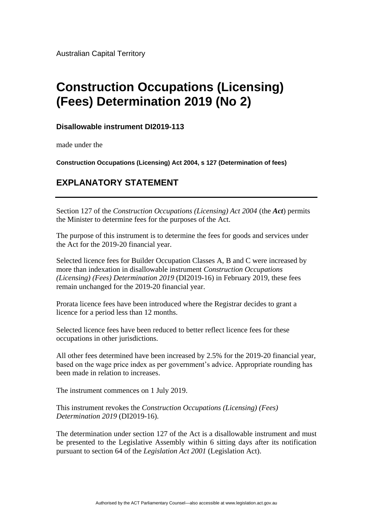Australian Capital Territory

# **Construction Occupations (Licensing) (Fees) Determination 2019 (No 2)**

## **Disallowable instrument DI2019-113**

made under the

**Construction Occupations (Licensing) Act 2004, s 127 (Determination of fees)**

## **EXPLANATORY STATEMENT**

Section 127 of the *Construction Occupations (Licensing) Act 2004* (the *Act*) permits the Minister to determine fees for the purposes of the Act.

The purpose of this instrument is to determine the fees for goods and services under the Act for the 2019-20 financial year.

Selected licence fees for Builder Occupation Classes A, B and C were increased by more than indexation in disallowable instrument *Construction Occupations (Licensing) (Fees) Determination 2019* (DI2019-16) in February 2019, these fees remain unchanged for the 2019-20 financial year.

Prorata licence fees have been introduced where the Registrar decides to grant a licence for a period less than 12 months.

Selected licence fees have been reduced to better reflect licence fees for these occupations in other jurisdictions.

All other fees determined have been increased by 2.5% for the 2019-20 financial year, based on the wage price index as per government's advice. Appropriate rounding has been made in relation to increases.

The instrument commences on 1 July 2019.

This instrument revokes the *Construction Occupations (Licensing) (Fees) Determination 2019* (DI2019-16).

The determination under section 127 of the Act is a disallowable instrument and must be presented to the Legislative Assembly within 6 sitting days after its notification pursuant to section 64 of the *Legislation Act 2001* (Legislation Act).